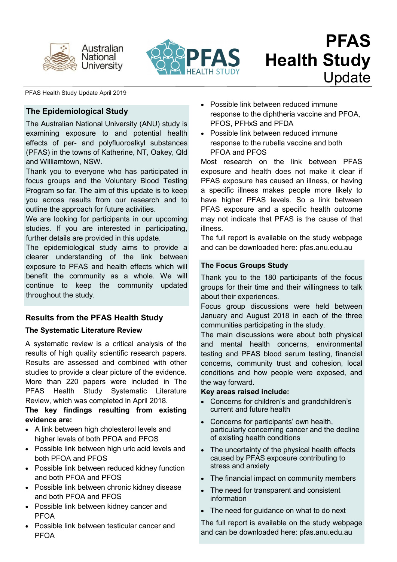



#### PFAS Health Study Update April 2019

## **The Epidemiological Study**

The Australian National University (ANU) study is examining exposure to and potential health effects of per- and polyfluoroalkyl substances (PFAS) in the towns of Katherine, NT, Oakey, Qld and Williamtown, NSW.

Thank you to everyone who has participated in focus groups and the Voluntary Blood Testing Program so far. The aim of this update is to keep you across results from our research and to outline the approach for future activities.

We are looking for participants in our upcoming studies. If you are interested in participating, further details are provided in this update.

The epidemiological study aims to provide a clearer understanding of the link between exposure to PFAS and health effects which will benefit the community as a whole. We will continue to keep the community updated throughout the study.

# **Results from the PFAS Health Study**

## **The Systematic Literature Review**

A systematic review is a critical analysis of the results of high quality scientific research papers. Results are assessed and combined with other studies to provide a clear picture of the evidence. More than 220 papers were included in The PFAS Health Study Systematic Literature Review, which was completed in April 2018.

## **The key findings resulting from existing evidence are:**

- A link between high cholesterol levels and higher levels of both PFOA and PFOS
- Possible link between high uric acid levels and both PFOA and PFOS
- Possible link between reduced kidney function and both PFOA and PFOS
- Possible link between chronic kidney disease and both PFOA and PFOS
- Possible link between kidney cancer and PFOA
- Possible link between testicular cancer and PFOA
- Possible link between reduced immune response to the diphtheria vaccine and PFOA, PFOS, PFHxS and PFDA
- Possible link between reduced immune response to the rubella vaccine and both PFOA and PFOS

Most research on the link between PFAS exposure and health does not make it clear if PFAS exposure has caused an illness, or having a specific illness makes people more likely to have higher PFAS levels. So a link between PFAS exposure and a specific health outcome may not indicate that PFAS is the cause of that illness.

The full report is available on the study webpage and can be downloaded here: pfas.anu.edu.au

## **The Focus Groups Study**

Thank you to the 180 participants of the focus groups for their time and their willingness to talk about their experiences.

Focus group discussions were held between January and August 2018 in each of the three communities participating in the study.

The main discussions were about both physical and mental health concerns, environmental testing and PFAS blood serum testing, financial concerns, community trust and cohesion, local conditions and how people were exposed, and the way forward.

## **Key areas raised include:**

- Concerns for children's and grandchildren's current and future health
- Concerns for participants' own health, particularly concerning cancer and the decline of existing health conditions
- The uncertainty of the physical health effects caused by PFAS exposure contributing to stress and anxiety
- The financial impact on community members
- The need for transparent and consistent information
- The need for guidance on what to do next

The full report is available on the study webpage and can be downloaded here: pfas.anu.edu.au